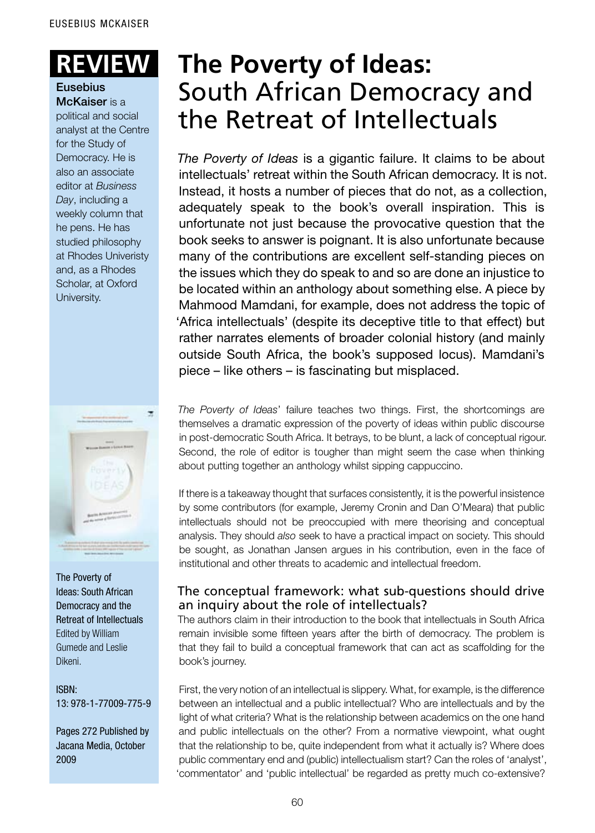#### Eusebius McKaiser is a

political and social analyst at the Centre for the Study of Democracy. He is also an associate editor at *Business Day*, including a weekly column that he pens. He has studied philosophy at Rhodes Univeristy and, as a Rhodes Scholar, at Oxford University.



The Poverty of Ideas: South African Democracy and the Retreat of Intellectuals Edited by William Gumede and Leslie Dikeni.

ISBN: 13: 978-1-77009-775-9

Pages 272 Published by Jacana Media, October 2009

# **Review: The Poverty of Ideas:** South African Democracy and the Retreat of Intellectuals

*The Poverty of Ideas* is a gigantic failure. It claims to be about intellectuals' retreat within the South African democracy. It is not. Instead, it hosts a number of pieces that do not, as a collection, adequately speak to the book's overall inspiration. This is unfortunate not just because the provocative question that the book seeks to answer is poignant. It is also unfortunate because many of the contributions are excellent self-standing pieces on the issues which they do speak to and so are done an injustice to be located within an anthology about something else. A piece by Mahmood Mamdani, for example, does not address the topic of 'Africa intellectuals' (despite its deceptive title to that effect) but rather narrates elements of broader colonial history (and mainly outside South Africa, the book's supposed locus). Mamdani's piece – like others – is fascinating but misplaced.

*The Poverty of Ideas*' failure teaches two things. First, the shortcomings are themselves a dramatic expression of the poverty of ideas within public discourse in post-democratic South Africa. It betrays, to be blunt, a lack of conceptual rigour. Second, the role of editor is tougher than might seem the case when thinking about putting together an anthology whilst sipping cappuccino.

If there is a takeaway thought that surfaces consistently, it is the powerful insistence by some contributors (for example, Jeremy Cronin and Dan O'Meara) that public intellectuals should not be preoccupied with mere theorising and conceptual analysis. They should *also* seek to have a practical impact on society. This should be sought, as Jonathan Jansen argues in his contribution, even in the face of institutional and other threats to academic and intellectual freedom.

## The conceptual framework: what sub-questions should drive an inquiry about the role of intellectuals?

The authors claim in their introduction to the book that intellectuals in South Africa remain invisible some fifteen years after the birth of democracy. The problem is that they fail to build a conceptual framework that can act as scaffolding for the book's journey.

First, the very notion of an intellectual is slippery. What, for example, is the difference between an intellectual and a public intellectual? Who are intellectuals and by the light of what criteria? What is the relationship between academics on the one hand and public intellectuals on the other? From a normative viewpoint, what ought that the relationship to be, quite independent from what it actually is? Where does public commentary end and (public) intellectualism start? Can the roles of 'analyst', 'commentator' and 'public intellectual' be regarded as pretty much co-extensive?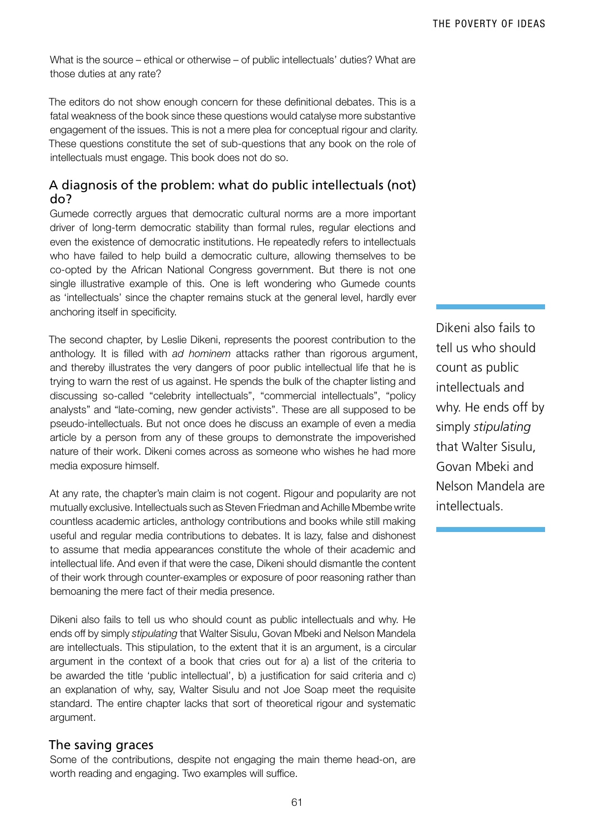What is the source – ethical or otherwise – of public intellectuals' duties? What are those duties at any rate?

The editors do not show enough concern for these definitional debates. This is a fatal weakness of the book since these questions would catalyse more substantive engagement of the issues. This is not a mere plea for conceptual rigour and clarity. These questions constitute the set of sub-questions that any book on the role of intellectuals must engage. This book does not do so.

#### A diagnosis of the problem: what do public intellectuals (not) do?

Gumede correctly argues that democratic cultural norms are a more important driver of long-term democratic stability than formal rules, regular elections and even the existence of democratic institutions. He repeatedly refers to intellectuals who have failed to help build a democratic culture, allowing themselves to be co-opted by the African National Congress government. But there is not one single illustrative example of this. One is left wondering who Gumede counts as 'intellectuals' since the chapter remains stuck at the general level, hardly ever anchoring itself in specificity.

The second chapter, by Leslie Dikeni, represents the poorest contribution to the anthology. It is filled with *ad hominem* attacks rather than rigorous argument, and thereby illustrates the very dangers of poor public intellectual life that he is trying to warn the rest of us against. He spends the bulk of the chapter listing and discussing so-called "celebrity intellectuals", "commercial intellectuals", "policy analysts" and "late-coming, new gender activists". These are all supposed to be pseudo-intellectuals. But not once does he discuss an example of even a media article by a person from any of these groups to demonstrate the impoverished nature of their work. Dikeni comes across as someone who wishes he had more media exposure himself.

At any rate, the chapter's main claim is not cogent. Rigour and popularity are not mutually exclusive. Intellectuals such as Steven Friedman and Achille Mbembe write countless academic articles, anthology contributions and books while still making useful and regular media contributions to debates. It is lazy, false and dishonest to assume that media appearances constitute the whole of their academic and intellectual life. And even if that were the case, Dikeni should dismantle the content of their work through counter-examples or exposure of poor reasoning rather than bemoaning the mere fact of their media presence.

Dikeni also fails to tell us who should count as public intellectuals and why. He ends off by simply *stipulating* that Walter Sisulu, Govan Mbeki and Nelson Mandela are intellectuals. This stipulation, to the extent that it is an argument, is a circular argument in the context of a book that cries out for a) a list of the criteria to be awarded the title 'public intellectual', b) a justification for said criteria and c) an explanation of why, say, Walter Sisulu and not Joe Soap meet the requisite standard. The entire chapter lacks that sort of theoretical rigour and systematic argument.

#### The saving graces

Some of the contributions, despite not engaging the main theme head-on, are worth reading and engaging. Two examples will suffice.

Dikeni also fails to tell us who should count as public intellectuals and why. He ends off by simply *stipulating* that Walter Sisulu, Govan Mbeki and Nelson Mandela are intellectuals.